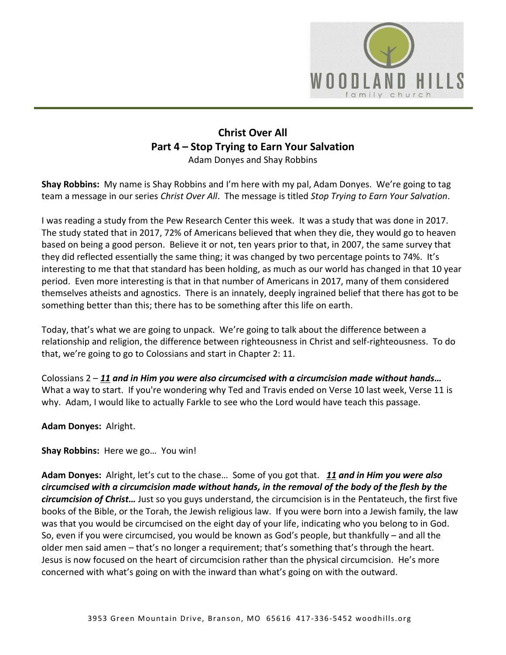

## **Christ Over All Part 4 – Stop Trying to Earn Your Salvation** Adam Donyes and Shay Robbins

**Shay Robbins:** My name is Shay Robbins and I'm here with my pal, Adam Donyes. We're going to tag team a message in our series *Christ Over All*. The message is titled *Stop Trying to Earn Your Salvation*.

I was reading a study from the Pew Research Center this week. It was a study that was done in 2017. The study stated that in 2017, 72% of Americans believed that when they die, they would go to heaven based on being a good person. Believe it or not, ten years prior to that, in 2007, the same survey that they did reflected essentially the same thing; it was changed by two percentage points to 74%. It's interesting to me that that standard has been holding, as much as our world has changed in that 10 year period. Even more interesting is that in that number of Americans in 2017, many of them considered themselves atheists and agnostics. There is an innately, deeply ingrained belief that there has got to be something better than this; there has to be something after this life on earth.

Today, that's what we are going to unpack. We're going to talk about the difference between a relationship and religion, the difference between righteousness in Christ and self-righteousness. To do that, we're going to go to Colossians and start in Chapter 2: 11.

Colossians 2 – *[11](https://www.studylight.org/desk/?q=col%202:11&t1=en_nas&sr=1) and in Him you were also circumcised with a circumcision made without hands…* What a way to start. If you're wondering why Ted and Travis ended on Verse 10 last week, Verse 11 is why. Adam, I would like to actually Farkle to see who the Lord would have teach this passage.

**Adam Donyes:** Alright.

**Shay Robbins:** Here we go… You win!

**Adam Donyes:** Alright, let's cut to the chase… Some of you got that. *[11](https://www.studylight.org/desk/?q=col%202:11&t1=en_nas&sr=1) and in Him you were also circumcised with a circumcision made without hands, in the removal of the body of the flesh by the circumcision of Christ…* Just so you guys understand, the circumcision is in the Pentateuch, the first five books of the Bible, or the Torah, the Jewish religious law. If you were born into a Jewish family, the law was that you would be circumcised on the eight day of your life, indicating who you belong to in God. So, even if you were circumcised, you would be known as God's people, but thankfully – and all the older men said amen – that's no longer a requirement; that's something that's through the heart. Jesus is now focused on the heart of circumcision rather than the physical circumcision. He's more concerned with what's going on with the inward than what's going on with the outward.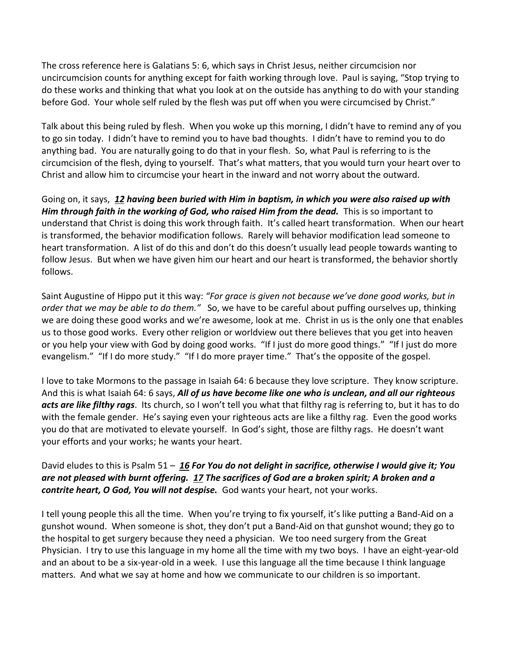The cross reference here is Galatians 5: 6, which says in Christ Jesus, neither circumcision nor uncircumcision counts for anything except for faith working through love. Paul is saying, "Stop trying to do these works and thinking that what you look at on the outside has anything to do with your standing before God. Your whole self ruled by the flesh was put off when you were circumcised by Christ."

Talk about this being ruled by flesh. When you woke up this morning, I didn't have to remind any of you to go sin today. I didn't have to remind you to have bad thoughts. I didn't have to remind you to do anything bad. You are naturally going to do that in your flesh. So, what Paul is referring to is the circumcision of the flesh, dying to yourself. That's what matters, that you would turn your heart over to Christ and allow him to circumcise your heart in the inward and not worry about the outward.

Going on, it says, *[12](https://www.studylight.org/desk/?q=col%202:12&t1=en_nas&sr=1) having been buried with Him in baptism, in which you were also raised up with Him through faith in the working of God, who raised Him from the dead.* This is so important to understand that Christ is doing this work through faith. It's called heart transformation. When our heart is transformed, the behavior modification follows. Rarely will behavior modification lead someone to heart transformation. A list of do this and don't do this doesn't usually lead people towards wanting to follow Jesus. But when we have given him our heart and our heart is transformed, the behavior shortly follows.

Saint Augustine of Hippo put it this way: *"For grace is given not because we've done good works, but in order that we may be able to do them."* So, we have to be careful about puffing ourselves up, thinking we are doing these good works and we're awesome, look at me. Christ in us is the only one that enables us to those good works. Every other religion or worldview out there believes that you get into heaven or you help your view with God by doing good works. "If I just do more good things." "If I just do more evangelism." "If I do more study." "If I do more prayer time." That's the opposite of the gospel.

I love to take Mormons to the passage in Isaiah 64: 6 because they love scripture. They know scripture. And this is what Isaiah 64: 6 says, *All of us have become like one who is unclean, and all our righteous acts are like filthy rags*. Its church, so I won't tell you what that filthy rag is referring to, but it has to do with the female gender. He's saying even your righteous acts are like a filthy rag. Even the good works you do that are motivated to elevate yourself. In God's sight, those are filthy rags. He doesn't want your efforts and your works; he wants your heart.

## David eludes to this is Psalm 51 – *[16](https://www.studylight.org/desk/?q=ps%2051:16&t1=en_nas&sr=1) For You do not delight in sacrifice, otherwise I would give it; You are not pleased with burnt offering. [17](https://www.studylight.org/desk/?q=ps%2051:17&t1=en_nas&sr=1) The sacrifices of God are a broken spirit; A broken and a contrite heart, O God, You will not despise.* God wants your heart, not your works.

I tell young people this all the time. When you're trying to fix yourself, it's like putting a Band-Aid on a gunshot wound. When someone is shot, they don't put a Band-Aid on that gunshot wound; they go to the hospital to get surgery because they need a physician. We too need surgery from the Great Physician. I try to use this language in my home all the time with my two boys. I have an eight-year-old and an about to be a six-year-old in a week. I use this language all the time because I think language matters. And what we say at home and how we communicate to our children is so important.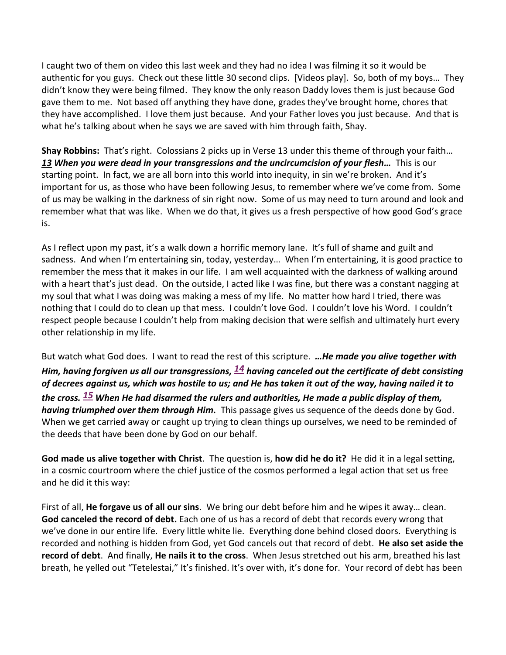I caught two of them on video this last week and they had no idea I was filming it so it would be authentic for you guys. Check out these little 30 second clips. [Videos play]. So, both of my boys… They didn't know they were being filmed. They know the only reason Daddy loves them is just because God gave them to me. Not based off anything they have done, grades they've brought home, chores that they have accomplished. I love them just because. And your Father loves you just because. And that is what he's talking about when he says we are saved with him through faith, Shay.

**Shay Robbins:** That's right. Colossians 2 picks up in Verse 13 under this theme of through your faith… *[13](https://www.studylight.org/desk/?q=col%202:13&t1=en_nas&sr=1) When you were dead in your transgressions and the uncircumcision of your flesh…* This is our starting point. In fact, we are all born into this world into inequity, in sin we're broken. And it's important for us, as those who have been following Jesus, to remember where we've come from. Some of us may be walking in the darkness of sin right now. Some of us may need to turn around and look and remember what that was like. When we do that, it gives us a fresh perspective of how good God's grace is.

As I reflect upon my past, it's a walk down a horrific memory lane. It's full of shame and guilt and sadness. And when I'm entertaining sin, today, yesterday… When I'm entertaining, it is good practice to remember the mess that it makes in our life. I am well acquainted with the darkness of walking around with a heart that's just dead. On the outside, I acted like I was fine, but there was a constant nagging at my soul that what I was doing was making a mess of my life. No matter how hard I tried, there was nothing that I could do to clean up that mess. I couldn't love God. I couldn't love his Word. I couldn't respect people because I couldn't help from making decision that were selfish and ultimately hurt every other relationship in my life.

But watch what God does. I want to read the rest of this scripture. *…He made you alive together with Him, having forgiven us all our transgressions, [14](https://www.studylight.org/desk/?q=col%202:14&t1=en_nas&sr=1) having canceled out the certificate of debt consisting of decrees against us, which was hostile to us; and He has taken it out of the way, having nailed it to the cross. [15](https://www.studylight.org/desk/?q=col%202:15&t1=en_nas&sr=1) When He had disarmed the rulers and authorities, He made a public display of them, having triumphed over them through Him.* This passage gives us sequence of the deeds done by God. When we get carried away or caught up trying to clean things up ourselves, we need to be reminded of the deeds that have been done by God on our behalf.

**God made us alive together with Christ**. The question is, **how did he do it?** He did it in a legal setting, in a cosmic courtroom where the chief justice of the cosmos performed a legal action that set us free and he did it this way:

First of all, **He forgave us of all our sins**. We bring our debt before him and he wipes it away… clean. **God canceled the record of debt.** Each one of us has a record of debt that records every wrong that we've done in our entire life. Every little white lie. Everything done behind closed doors. Everything is recorded and nothing is hidden from God, yet God cancels out that record of debt. **He also set aside the record of debt**. And finally, **He nails it to the cross**. When Jesus stretched out his arm, breathed his last breath, he yelled out "Tetelestai," It's finished. It's over with, it's done for. Your record of debt has been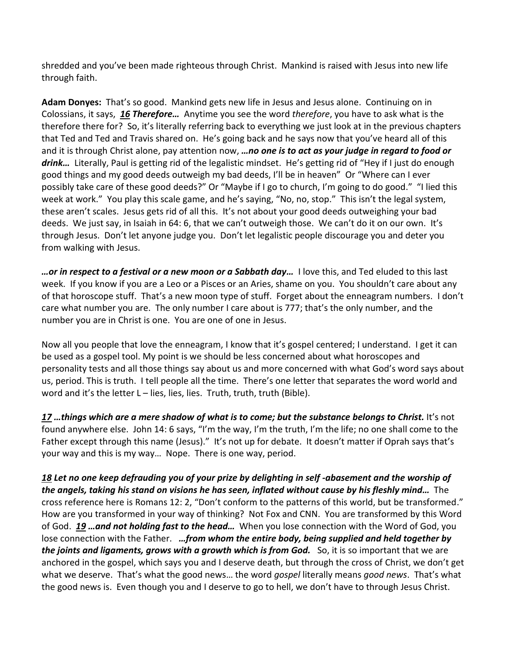shredded and you've been made righteous through Christ. Mankind is raised with Jesus into new life through faith.

**Adam Donyes:** That's so good. Mankind gets new life in Jesus and Jesus alone. Continuing on in Colossians, it says, *[16](https://www.studylight.org/desk/?q=col%202:16&t1=en_nas&sr=1) Therefore…* Anytime you see the word *therefore*, you have to ask what is the therefore there for? So, it's literally referring back to everything we just look at in the previous chapters that Ted and Ted and Travis shared on. He's going back and he says now that you've heard all of this and it is through Christ alone, pay attention now, *…no one is to act as your judge in regard to food or drink…* Literally, Paul is getting rid of the legalistic mindset. He's getting rid of "Hey if I just do enough good things and my good deeds outweigh my bad deeds, I'll be in heaven" Or "Where can I ever possibly take care of these good deeds?" Or "Maybe if I go to church, I'm going to do good." "I lied this week at work." You play this scale game, and he's saying, "No, no, stop." This isn't the legal system, these aren't scales. Jesus gets rid of all this. It's not about your good deeds outweighing your bad deeds. We just say, in Isaiah in 64: 6, that we can't outweigh those. We can't do it on our own. It's through Jesus. Don't let anyone judge you. Don't let legalistic people discourage you and deter you from walking with Jesus.

*…or in respect to a festival or a new moon or a Sabbath day…* I love this, and Ted eluded to this last week. If you know if you are a Leo or a Pisces or an Aries, shame on you. You shouldn't care about any of that horoscope stuff. That's a new moon type of stuff. Forget about the enneagram numbers. I don't care what number you are. The only number I care about is 777; that's the only number, and the number you are in Christ is one. You are one of one in Jesus.

Now all you people that love the enneagram, I know that it's gospel centered; I understand. I get it can be used as a gospel tool. My point is we should be less concerned about what horoscopes and personality tests and all those things say about us and more concerned with what God's word says about us, period. This is truth. I tell people all the time. There's one letter that separates the word world and word and it's the letter L – lies, lies, lies. Truth, truth, truth (Bible).

*[17](https://www.studylight.org/desk/?q=col%202:17&t1=en_nas&sr=1) …things which are a mere shadow of what is to come; but the substance belongs to Christ.* It's not found anywhere else. John 14: 6 says, "I'm the way, I'm the truth, I'm the life; no one shall come to the Father except through this name (Jesus)." It's not up for debate. It doesn't matter if Oprah says that's your way and this is my way… Nope. There is one way, period.

*[18](https://www.studylight.org/desk/?q=col%202:18&t1=en_nas&sr=1) Let no one keep defrauding you of your prize by delighting in self -abasement and the worship of the angels, taking his stand on visions he has seen, inflated without cause by his fleshly mind…* The cross reference here is Romans 12: 2, "Don't conform to the patterns of this world, but be transformed." How are you transformed in your way of thinking? Not Fox and CNN. You are transformed by this Word of God. *[19](https://www.studylight.org/desk/?q=col%202:19&t1=en_nas&sr=1) …and not holding fast to the head…* When you lose connection with the Word of God, you lose connection with the Father. *…from whom the entire body, being supplied and held together by the joints and ligaments, grows with a growth which is from God.* So, it is so important that we are anchored in the gospel, which says you and I deserve death, but through the cross of Christ, we don't get what we deserve. That's what the good news… the word *gospel* literally means *good news*. That's what the good news is. Even though you and I deserve to go to hell, we don't have to through Jesus Christ.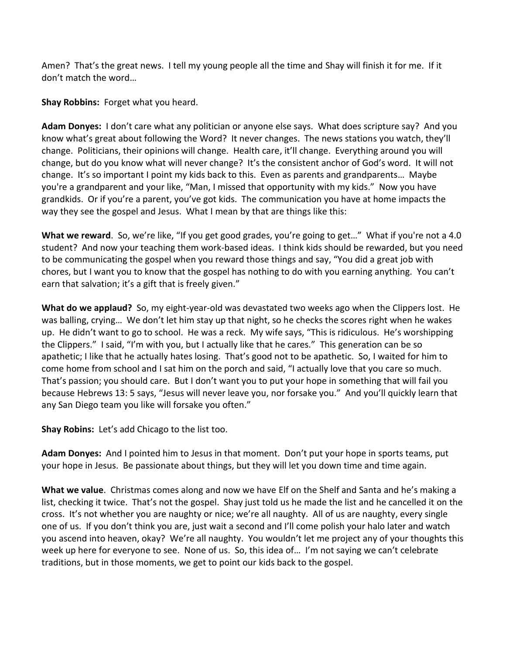Amen? That's the great news. I tell my young people all the time and Shay will finish it for me. If it don't match the word…

**Shay Robbins:** Forget what you heard.

**Adam Donyes:** I don't care what any politician or anyone else says. What does scripture say? And you know what's great about following the Word? It never changes. The news stations you watch, they'll change. Politicians, their opinions will change. Health care, it'll change. Everything around you will change, but do you know what will never change? It's the consistent anchor of God's word. It will not change. It's so important I point my kids back to this. Even as parents and grandparents… Maybe you're a grandparent and your like, "Man, I missed that opportunity with my kids." Now you have grandkids. Or if you're a parent, you've got kids. The communication you have at home impacts the way they see the gospel and Jesus. What I mean by that are things like this:

**What we reward**. So, we're like, "If you get good grades, you're going to get…" What if you're not a 4.0 student? And now your teaching them work-based ideas. I think kids should be rewarded, but you need to be communicating the gospel when you reward those things and say, "You did a great job with chores, but I want you to know that the gospel has nothing to do with you earning anything. You can't earn that salvation; it's a gift that is freely given."

**What do we applaud?** So, my eight-year-old was devastated two weeks ago when the Clippers lost. He was balling, crying… We don't let him stay up that night, so he checks the scores right when he wakes up. He didn't want to go to school. He was a reck. My wife says, "This is ridiculous. He's worshipping the Clippers." I said, "I'm with you, but I actually like that he cares." This generation can be so apathetic; I like that he actually hates losing. That's good not to be apathetic. So, I waited for him to come home from school and I sat him on the porch and said, "I actually love that you care so much. That's passion; you should care. But I don't want you to put your hope in something that will fail you because Hebrews 13: 5 says, "Jesus will never leave you, nor forsake you." And you'll quickly learn that any San Diego team you like will forsake you often."

**Shay Robins:** Let's add Chicago to the list too.

**Adam Donyes:** And I pointed him to Jesus in that moment. Don't put your hope in sports teams, put your hope in Jesus. Be passionate about things, but they will let you down time and time again.

**What we value**. Christmas comes along and now we have Elf on the Shelf and Santa and he's making a list, checking it twice. That's not the gospel. Shay just told us he made the list and he cancelled it on the cross. It's not whether you are naughty or nice; we're all naughty. All of us are naughty, every single one of us. If you don't think you are, just wait a second and I'll come polish your halo later and watch you ascend into heaven, okay? We're all naughty. You wouldn't let me project any of your thoughts this week up here for everyone to see. None of us. So, this idea of… I'm not saying we can't celebrate traditions, but in those moments, we get to point our kids back to the gospel.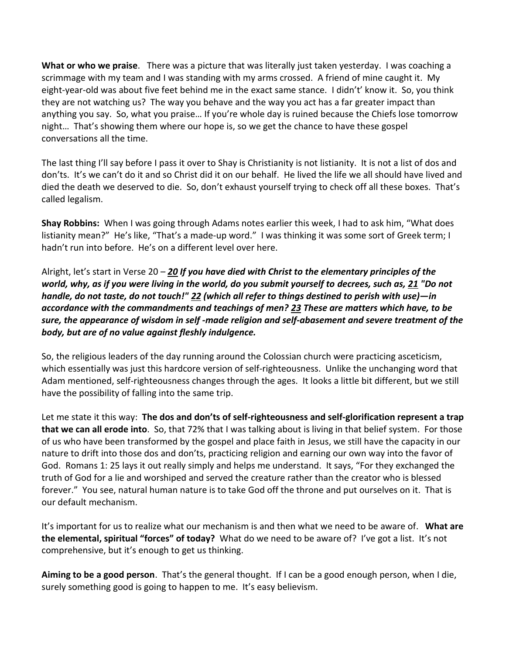**What or who we praise**. There was a picture that was literally just taken yesterday. I was coaching a scrimmage with my team and I was standing with my arms crossed. A friend of mine caught it. My eight-year-old was about five feet behind me in the exact same stance. I didn't' know it. So, you think they are not watching us? The way you behave and the way you act has a far greater impact than anything you say. So, what you praise… If you're whole day is ruined because the Chiefs lose tomorrow night… That's showing them where our hope is, so we get the chance to have these gospel conversations all the time.

The last thing I'll say before I pass it over to Shay is Christianity is not listianity. It is not a list of dos and don'ts. It's we can't do it and so Christ did it on our behalf. He lived the life we all should have lived and died the death we deserved to die. So, don't exhaust yourself trying to check off all these boxes. That's called legalism.

**Shay Robbins:** When I was going through Adams notes earlier this week, I had to ask him, "What does listianity mean?" He's like, "That's a made-up word." I was thinking it was some sort of Greek term; I hadn't run into before. He's on a different level over here.

Alright, let's start in Verse 20 – *[20](https://www.studylight.org/desk/?q=col%202:20&t1=en_nas&sr=1) If you have died with Christ to the elementary principles of the world, why, as if you were living in the world, do you submit yourself to decrees, such as, [21](https://www.studylight.org/desk/?q=col%202:21&t1=en_nas&sr=1) "Do not handle, do not taste, do not touch!" [22](https://www.studylight.org/desk/?q=col%202:22&t1=en_nas&sr=1) (which all refer to things destined to perish with use)—in accordance with the commandments and teachings of men? [23](https://www.studylight.org/desk/?q=col%202:23&t1=en_nas&sr=1) These are matters which have, to be sure, the appearance of wisdom in self -made religion and self-abasement and severe treatment of the body, but are of no value against fleshly indulgence.*

So, the religious leaders of the day running around the Colossian church were practicing asceticism, which essentially was just this hardcore version of self-righteousness. Unlike the unchanging word that Adam mentioned, self-righteousness changes through the ages. It looks a little bit different, but we still have the possibility of falling into the same trip.

Let me state it this way: **The dos and don'ts of self-righteousness and self-glorification represent a trap that we can all erode into**. So, that 72% that I was talking about is living in that belief system. For those of us who have been transformed by the gospel and place faith in Jesus, we still have the capacity in our nature to drift into those dos and don'ts, practicing religion and earning our own way into the favor of God. Romans 1: 25 lays it out really simply and helps me understand. It says, "For they exchanged the truth of God for a lie and worshiped and served the creature rather than the creator who is blessed forever." You see, natural human nature is to take God off the throne and put ourselves on it. That is our default mechanism.

It's important for us to realize what our mechanism is and then what we need to be aware of. **What are the elemental, spiritual "forces" of today?** What do we need to be aware of? I've got a list. It's not comprehensive, but it's enough to get us thinking.

**Aiming to be a good person**. That's the general thought. If I can be a good enough person, when I die, surely something good is going to happen to me. It's easy believism.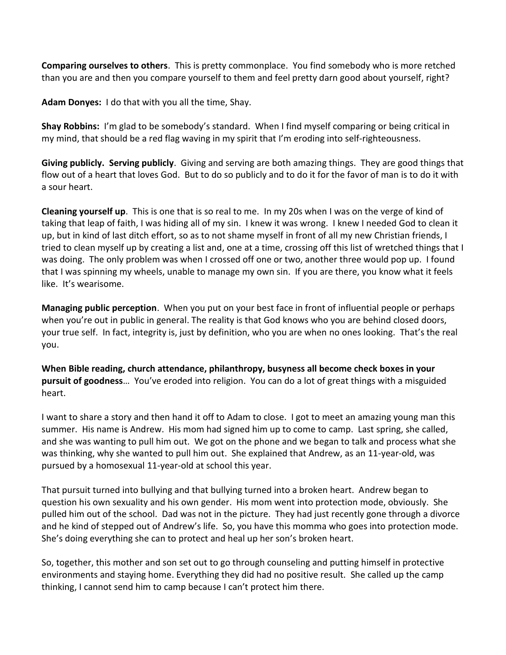**Comparing ourselves to others**. This is pretty commonplace. You find somebody who is more retched than you are and then you compare yourself to them and feel pretty darn good about yourself, right?

**Adam Donyes:** I do that with you all the time, Shay.

**Shay Robbins:** I'm glad to be somebody's standard. When I find myself comparing or being critical in my mind, that should be a red flag waving in my spirit that I'm eroding into self-righteousness.

**Giving publicly. Serving publicly**. Giving and serving are both amazing things. They are good things that flow out of a heart that loves God. But to do so publicly and to do it for the favor of man is to do it with a sour heart.

**Cleaning yourself up**. This is one that is so real to me. In my 20s when I was on the verge of kind of taking that leap of faith, I was hiding all of my sin. I knew it was wrong. I knew I needed God to clean it up, but in kind of last ditch effort, so as to not shame myself in front of all my new Christian friends, I tried to clean myself up by creating a list and, one at a time, crossing off this list of wretched things that I was doing. The only problem was when I crossed off one or two, another three would pop up. I found that I was spinning my wheels, unable to manage my own sin. If you are there, you know what it feels like. It's wearisome.

**Managing public perception**. When you put on your best face in front of influential people or perhaps when you're out in public in general. The reality is that God knows who you are behind closed doors, your true self. In fact, integrity is, just by definition, who you are when no ones looking. That's the real you.

**When Bible reading, church attendance, philanthropy, busyness all become check boxes in your pursuit of goodness**… You've eroded into religion. You can do a lot of great things with a misguided heart.

I want to share a story and then hand it off to Adam to close. I got to meet an amazing young man this summer. His name is Andrew. His mom had signed him up to come to camp. Last spring, she called, and she was wanting to pull him out. We got on the phone and we began to talk and process what she was thinking, why she wanted to pull him out. She explained that Andrew, as an 11-year-old, was pursued by a homosexual 11-year-old at school this year.

That pursuit turned into bullying and that bullying turned into a broken heart. Andrew began to question his own sexuality and his own gender. His mom went into protection mode, obviously. She pulled him out of the school. Dad was not in the picture. They had just recently gone through a divorce and he kind of stepped out of Andrew's life. So, you have this momma who goes into protection mode. She's doing everything she can to protect and heal up her son's broken heart.

So, together, this mother and son set out to go through counseling and putting himself in protective environments and staying home. Everything they did had no positive result. She called up the camp thinking, I cannot send him to camp because I can't protect him there.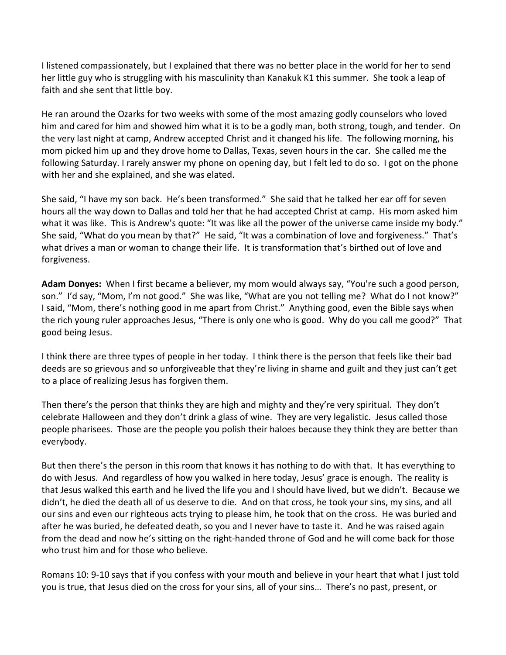I listened compassionately, but I explained that there was no better place in the world for her to send her little guy who is struggling with his masculinity than Kanakuk K1 this summer. She took a leap of faith and she sent that little boy.

He ran around the Ozarks for two weeks with some of the most amazing godly counselors who loved him and cared for him and showed him what it is to be a godly man, both strong, tough, and tender. On the very last night at camp, Andrew accepted Christ and it changed his life. The following morning, his mom picked him up and they drove home to Dallas, Texas, seven hours in the car. She called me the following Saturday. I rarely answer my phone on opening day, but I felt led to do so. I got on the phone with her and she explained, and she was elated.

She said, "I have my son back. He's been transformed." She said that he talked her ear off for seven hours all the way down to Dallas and told her that he had accepted Christ at camp. His mom asked him what it was like. This is Andrew's quote: "It was like all the power of the universe came inside my body." She said, "What do you mean by that?" He said, "It was a combination of love and forgiveness." That's what drives a man or woman to change their life. It is transformation that's birthed out of love and forgiveness.

**Adam Donyes:** When I first became a believer, my mom would always say, "You're such a good person, son." I'd say, "Mom, I'm not good." She was like, "What are you not telling me? What do I not know?" I said, "Mom, there's nothing good in me apart from Christ." Anything good, even the Bible says when the rich young ruler approaches Jesus, "There is only one who is good. Why do you call me good?" That good being Jesus.

I think there are three types of people in her today. I think there is the person that feels like their bad deeds are so grievous and so unforgiveable that they're living in shame and guilt and they just can't get to a place of realizing Jesus has forgiven them.

Then there's the person that thinks they are high and mighty and they're very spiritual. They don't celebrate Halloween and they don't drink a glass of wine. They are very legalistic. Jesus called those people pharisees. Those are the people you polish their haloes because they think they are better than everybody.

But then there's the person in this room that knows it has nothing to do with that. It has everything to do with Jesus. And regardless of how you walked in here today, Jesus' grace is enough. The reality is that Jesus walked this earth and he lived the life you and I should have lived, but we didn't. Because we didn't, he died the death all of us deserve to die. And on that cross, he took your sins, my sins, and all our sins and even our righteous acts trying to please him, he took that on the cross. He was buried and after he was buried, he defeated death, so you and I never have to taste it. And he was raised again from the dead and now he's sitting on the right-handed throne of God and he will come back for those who trust him and for those who believe.

Romans 10: 9-10 says that if you confess with your mouth and believe in your heart that what I just told you is true, that Jesus died on the cross for your sins, all of your sins… There's no past, present, or